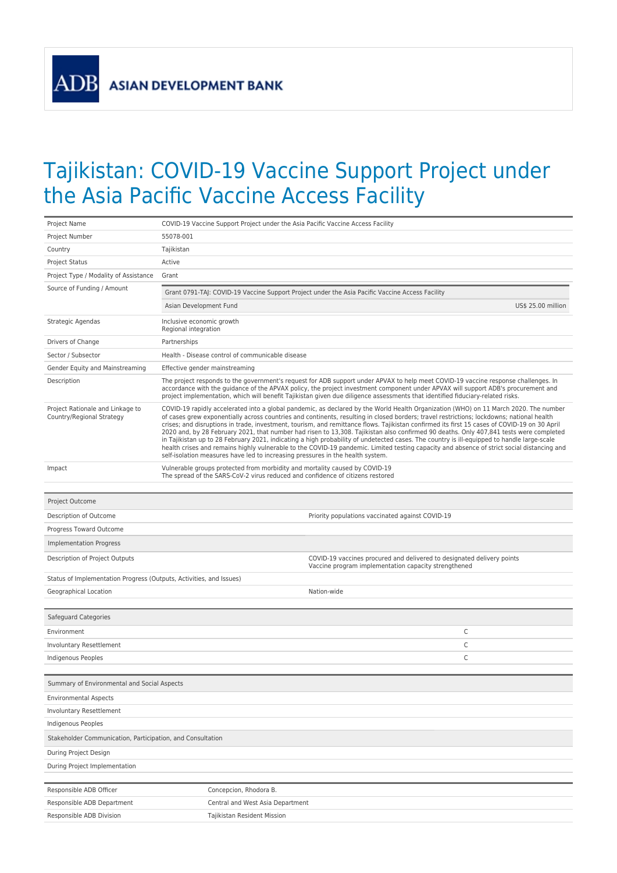**ADB** 

## Tajikistan: COVID-19 Vaccine Support Project under the Asia Pacific Vaccine Access Facility

| Project Name                                                        | COVID-19 Vaccine Support Project under the Asia Pacific Vaccine Access Facility                                                                                                                                                                                                                                                                                                                                                                                                                                                                                                                                                                                                                                                                                                                                                                                                                                                                           |                                                                                                                                |                    |
|---------------------------------------------------------------------|-----------------------------------------------------------------------------------------------------------------------------------------------------------------------------------------------------------------------------------------------------------------------------------------------------------------------------------------------------------------------------------------------------------------------------------------------------------------------------------------------------------------------------------------------------------------------------------------------------------------------------------------------------------------------------------------------------------------------------------------------------------------------------------------------------------------------------------------------------------------------------------------------------------------------------------------------------------|--------------------------------------------------------------------------------------------------------------------------------|--------------------|
| Project Number                                                      | 55078-001                                                                                                                                                                                                                                                                                                                                                                                                                                                                                                                                                                                                                                                                                                                                                                                                                                                                                                                                                 |                                                                                                                                |                    |
| Country                                                             | Tajikistan                                                                                                                                                                                                                                                                                                                                                                                                                                                                                                                                                                                                                                                                                                                                                                                                                                                                                                                                                |                                                                                                                                |                    |
| <b>Project Status</b>                                               | Active                                                                                                                                                                                                                                                                                                                                                                                                                                                                                                                                                                                                                                                                                                                                                                                                                                                                                                                                                    |                                                                                                                                |                    |
| Project Type / Modality of Assistance                               | Grant                                                                                                                                                                                                                                                                                                                                                                                                                                                                                                                                                                                                                                                                                                                                                                                                                                                                                                                                                     |                                                                                                                                |                    |
| Source of Funding / Amount                                          |                                                                                                                                                                                                                                                                                                                                                                                                                                                                                                                                                                                                                                                                                                                                                                                                                                                                                                                                                           | Grant 0791-TAJ: COVID-19 Vaccine Support Project under the Asia Pacific Vaccine Access Facility                                |                    |
|                                                                     | Asian Development Fund                                                                                                                                                                                                                                                                                                                                                                                                                                                                                                                                                                                                                                                                                                                                                                                                                                                                                                                                    |                                                                                                                                | US\$ 25.00 million |
| Strategic Agendas                                                   | Inclusive economic growth<br>Regional integration                                                                                                                                                                                                                                                                                                                                                                                                                                                                                                                                                                                                                                                                                                                                                                                                                                                                                                         |                                                                                                                                |                    |
| Drivers of Change                                                   | Partnerships                                                                                                                                                                                                                                                                                                                                                                                                                                                                                                                                                                                                                                                                                                                                                                                                                                                                                                                                              |                                                                                                                                |                    |
| Sector / Subsector                                                  | Health - Disease control of communicable disease                                                                                                                                                                                                                                                                                                                                                                                                                                                                                                                                                                                                                                                                                                                                                                                                                                                                                                          |                                                                                                                                |                    |
| Gender Equity and Mainstreaming                                     | Effective gender mainstreaming                                                                                                                                                                                                                                                                                                                                                                                                                                                                                                                                                                                                                                                                                                                                                                                                                                                                                                                            |                                                                                                                                |                    |
| Description                                                         | The project responds to the government's request for ADB support under APVAX to help meet COVID-19 vaccine response challenges. In<br>accordance with the guidance of the APVAX policy, the project investment component under APVAX will support ADB's procurement and<br>project implementation, which will benefit Tajikistan given due diligence assessments that identified fiduciary-related risks.                                                                                                                                                                                                                                                                                                                                                                                                                                                                                                                                                 |                                                                                                                                |                    |
| Project Rationale and Linkage to<br>Country/Regional Strategy       | COVID-19 rapidly accelerated into a global pandemic, as declared by the World Health Organization (WHO) on 11 March 2020. The number<br>of cases grew exponentially across countries and continents, resulting in closed borders; travel restrictions; lockdowns; national health<br>crises; and disruptions in trade, investment, tourism, and remittance flows. Tajikistan confirmed its first 15 cases of COVID-19 on 30 April<br>2020 and, by 28 February 2021, that number had risen to 13,308. Tajikistan also confirmed 90 deaths. Only 407,841 tests were completed<br>in Tajikistan up to 28 February 2021, indicating a high probability of undetected cases. The country is ill-equipped to handle large-scale<br>health crises and remains highly vulnerable to the COVID-19 pandemic. Limited testing capacity and absence of strict social distancing and<br>self-isolation measures have led to increasing pressures in the health system. |                                                                                                                                |                    |
| Impact                                                              | Vulnerable groups protected from morbidity and mortality caused by COVID-19<br>The spread of the SARS-CoV-2 virus reduced and confidence of citizens restored                                                                                                                                                                                                                                                                                                                                                                                                                                                                                                                                                                                                                                                                                                                                                                                             |                                                                                                                                |                    |
| Project Outcome                                                     |                                                                                                                                                                                                                                                                                                                                                                                                                                                                                                                                                                                                                                                                                                                                                                                                                                                                                                                                                           |                                                                                                                                |                    |
| Description of Outcome                                              |                                                                                                                                                                                                                                                                                                                                                                                                                                                                                                                                                                                                                                                                                                                                                                                                                                                                                                                                                           | Priority populations vaccinated against COVID-19                                                                               |                    |
| Progress Toward Outcome                                             |                                                                                                                                                                                                                                                                                                                                                                                                                                                                                                                                                                                                                                                                                                                                                                                                                                                                                                                                                           |                                                                                                                                |                    |
| <b>Implementation Progress</b>                                      |                                                                                                                                                                                                                                                                                                                                                                                                                                                                                                                                                                                                                                                                                                                                                                                                                                                                                                                                                           |                                                                                                                                |                    |
| Description of Project Outputs                                      |                                                                                                                                                                                                                                                                                                                                                                                                                                                                                                                                                                                                                                                                                                                                                                                                                                                                                                                                                           | COVID-19 vaccines procured and delivered to designated delivery points<br>Vaccine program implementation capacity strengthened |                    |
| Status of Implementation Progress (Outputs, Activities, and Issues) |                                                                                                                                                                                                                                                                                                                                                                                                                                                                                                                                                                                                                                                                                                                                                                                                                                                                                                                                                           |                                                                                                                                |                    |
| Geographical Location                                               |                                                                                                                                                                                                                                                                                                                                                                                                                                                                                                                                                                                                                                                                                                                                                                                                                                                                                                                                                           | Nation-wide                                                                                                                    |                    |
|                                                                     |                                                                                                                                                                                                                                                                                                                                                                                                                                                                                                                                                                                                                                                                                                                                                                                                                                                                                                                                                           |                                                                                                                                |                    |
| Safeguard Categories                                                |                                                                                                                                                                                                                                                                                                                                                                                                                                                                                                                                                                                                                                                                                                                                                                                                                                                                                                                                                           |                                                                                                                                |                    |
| Environment                                                         |                                                                                                                                                                                                                                                                                                                                                                                                                                                                                                                                                                                                                                                                                                                                                                                                                                                                                                                                                           |                                                                                                                                | C                  |
| Involuntary Resettlement                                            |                                                                                                                                                                                                                                                                                                                                                                                                                                                                                                                                                                                                                                                                                                                                                                                                                                                                                                                                                           |                                                                                                                                | C                  |
| Indigenous Peoples                                                  |                                                                                                                                                                                                                                                                                                                                                                                                                                                                                                                                                                                                                                                                                                                                                                                                                                                                                                                                                           |                                                                                                                                | C                  |
| Summary of Environmental and Social Aspects                         |                                                                                                                                                                                                                                                                                                                                                                                                                                                                                                                                                                                                                                                                                                                                                                                                                                                                                                                                                           |                                                                                                                                |                    |
| <b>Environmental Aspects</b>                                        |                                                                                                                                                                                                                                                                                                                                                                                                                                                                                                                                                                                                                                                                                                                                                                                                                                                                                                                                                           |                                                                                                                                |                    |
| Involuntary Resettlement                                            |                                                                                                                                                                                                                                                                                                                                                                                                                                                                                                                                                                                                                                                                                                                                                                                                                                                                                                                                                           |                                                                                                                                |                    |
| Indigenous Peoples                                                  |                                                                                                                                                                                                                                                                                                                                                                                                                                                                                                                                                                                                                                                                                                                                                                                                                                                                                                                                                           |                                                                                                                                |                    |
| Stakeholder Communication, Participation, and Consultation          |                                                                                                                                                                                                                                                                                                                                                                                                                                                                                                                                                                                                                                                                                                                                                                                                                                                                                                                                                           |                                                                                                                                |                    |
| During Project Design                                               |                                                                                                                                                                                                                                                                                                                                                                                                                                                                                                                                                                                                                                                                                                                                                                                                                                                                                                                                                           |                                                                                                                                |                    |
| During Project Implementation                                       |                                                                                                                                                                                                                                                                                                                                                                                                                                                                                                                                                                                                                                                                                                                                                                                                                                                                                                                                                           |                                                                                                                                |                    |
|                                                                     |                                                                                                                                                                                                                                                                                                                                                                                                                                                                                                                                                                                                                                                                                                                                                                                                                                                                                                                                                           |                                                                                                                                |                    |
| Responsible ADB Officer                                             | Concepcion, Rhodora B.                                                                                                                                                                                                                                                                                                                                                                                                                                                                                                                                                                                                                                                                                                                                                                                                                                                                                                                                    |                                                                                                                                |                    |
| Responsible ADB Department                                          | Central and West Asia Department                                                                                                                                                                                                                                                                                                                                                                                                                                                                                                                                                                                                                                                                                                                                                                                                                                                                                                                          |                                                                                                                                |                    |
| Responsible ADB Division                                            | Tajikistan Resident Mission                                                                                                                                                                                                                                                                                                                                                                                                                                                                                                                                                                                                                                                                                                                                                                                                                                                                                                                               |                                                                                                                                |                    |